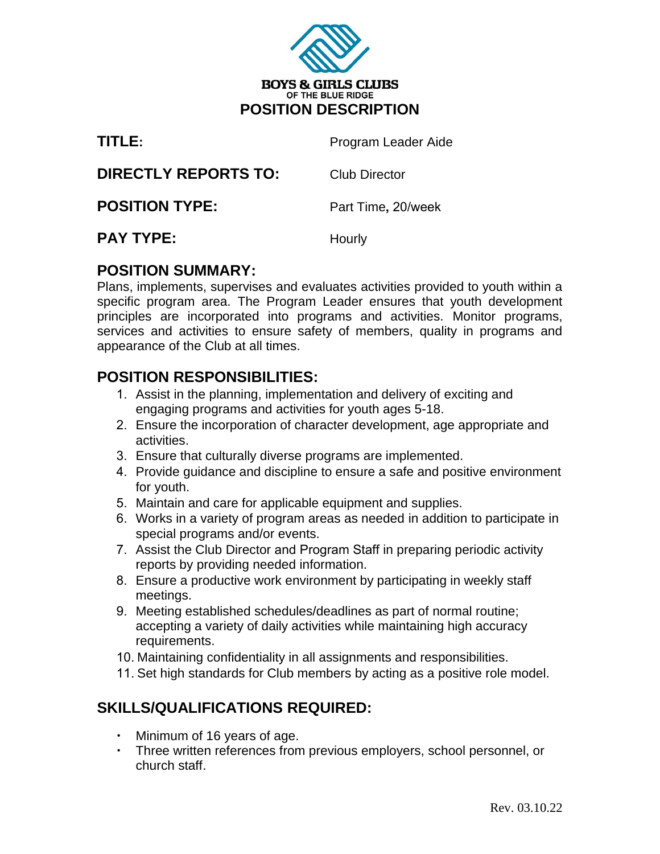

| TITLE:                      | Program Leader Aide  |
|-----------------------------|----------------------|
| <b>DIRECTLY REPORTS TO:</b> | <b>Club Director</b> |
| <b>POSITION TYPE:</b>       | Part Time, 20/week   |
| <b>PAY TYPE:</b>            | Hourly               |

### **POSITION SUMMARY:**

Plans, implements, supervises and evaluates activities provided to youth within a specific program area. The Program Leader ensures that youth development principles are incorporated into programs and activities. Monitor programs, services and activities to ensure safety of members, quality in programs and appearance of the Club at all times.

## **POSITION RESPONSIBILITIES:**

- 1. Assist in the planning, implementation and delivery of exciting and engaging programs and activities for youth ages 5-18.
- 2. Ensure the incorporation of character development, age appropriate and activities.
- 3. Ensure that culturally diverse programs are implemented.
- 4. Provide guidance and discipline to ensure a safe and positive environment for youth.
- 5. Maintain and care for applicable equipment and supplies.
- 6. Works in a variety of program areas as needed in addition to participate in special programs and/or events.
- 7. Assist the Club Director and Program Staff in preparing periodic activity reports by providing needed information.
- 8. Ensure a productive work environment by participating in weekly staff meetings.
- 9. Meeting established schedules/deadlines as part of normal routine; accepting a variety of daily activities while maintaining high accuracy requirements.
- 10. Maintaining confidentiality in all assignments and responsibilities.
- 11. Set high standards for Club members by acting as a positive role model.

# **SKILLS/QUALIFICATIONS REQUIRED:**

- Minimum of 16 years of age.
- Three written references from previous employers, school personnel, or church staff.